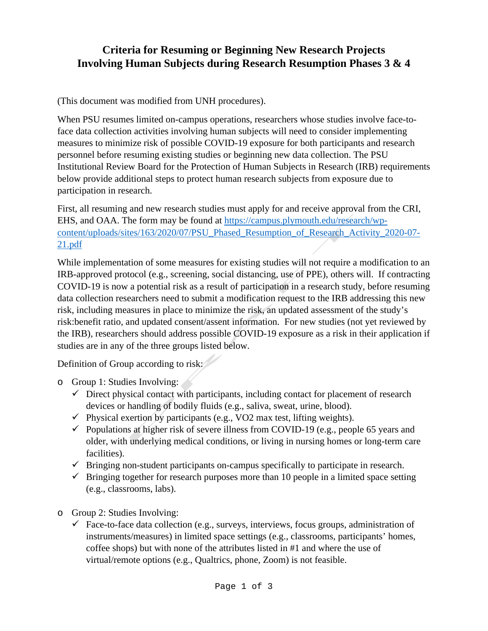## **Criteria for Resuming or Beginning New Research Projects Involving Human Subjects during Research Resumption Phases 3 & 4**

(This document was modified from UNH procedures).

When PSU resumes limited on-campus operations, researchers whose studies involve face-toface data collection activities involving human subjects will need to consider implementing measures to minimize risk of possible COVID-19 exposure for both participants and research personnel before resuming existing studies or beginning new data collection. The PSU Institutional Review Board for the Protection of Human Subjects in Research (IRB) requirements below provide additional steps to protect human research subjects from exposure due to participation in research.

First, all resuming and new research studies must apply for and receive approval from the CRI, EHS, and OAA. The form may be found at [https://campus.plymouth.edu/research/wp](https://campus.plymouth.edu/research/wp-content/uploads/sites/163/2020/07/PSU_Phased_Resumption_of_Research_Activity_2020-07-21.pdf)[content/uploads/sites/163/2020/07/PSU\\_Phased\\_Resumption\\_of\\_Research\\_Activity\\_2020-07-](https://campus.plymouth.edu/research/wp-content/uploads/sites/163/2020/07/PSU_Phased_Resumption_of_Research_Activity_2020-07-21.pdf) [21.pdf](https://campus.plymouth.edu/research/wp-content/uploads/sites/163/2020/07/PSU_Phased_Resumption_of_Research_Activity_2020-07-21.pdf)

While implementation of some measures for existing studies will not require a modification to an IRB-approved protocol (e.g., screening, social distancing, use of PPE), others will. If contracting COVID-19 is now a potential risk as a result of participation in a research study, before resuming data collection researchers need to submit a modification request to the IRB addressing this new risk, including measures in place to minimize the risk, an updated assessment of the study's risk:benefit ratio, and updated consent/assent information. For new studies (not yet reviewed by the IRB), researchers should address possible COVID-19 exposure as a risk in their application if studies are in any of the three groups listed below.

Definition of Group according to risk:

- o Group 1: Studies Involving:
	- $\checkmark$  Direct physical contact with participants, including contact for placement of research devices or handling of bodily fluids (e.g., saliva, sweat, urine, blood).
	- $\checkmark$  Physical exertion by participants (e.g., VO2 max test, lifting weights).
	- $\checkmark$  Populations at higher risk of severe illness from COVID-19 (e.g., people 65 years and older, with underlying medical conditions, or living in nursing homes or long-term care facilities).
	- $\checkmark$  Bringing non-student participants on-campus specifically to participate in research.
	- $\checkmark$  Bringing together for research purposes more than 10 people in a limited space setting (e.g., classrooms, labs).
- o Group 2: Studies Involving:
	- $\checkmark$  Face-to-face data collection (e.g., surveys, interviews, focus groups, administration of instruments/measures) in limited space settings (e.g., classrooms, participants' homes, coffee shops) but with none of the attributes listed in #1 and where the use of virtual/remote options (e.g., Qualtrics, phone, Zoom) is not feasible.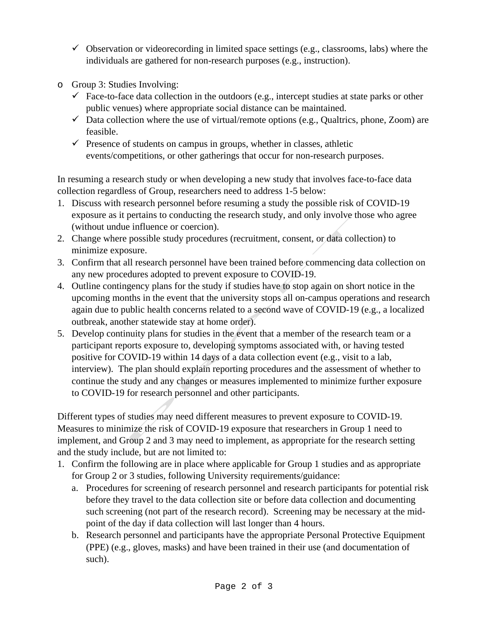- $\checkmark$  Observation or videorecording in limited space settings (e.g., classrooms, labs) where the individuals are gathered for non-research purposes (e.g., instruction).
- o Group 3: Studies Involving:
	- $\checkmark$  Face-to-face data collection in the outdoors (e.g., intercept studies at state parks or other public venues) where appropriate social distance can be maintained.
	- $\checkmark$  Data collection where the use of virtual/remote options (e.g., Qualtrics, phone, Zoom) are feasible.
	- $\checkmark$  Presence of students on campus in groups, whether in classes, athletic events/competitions, or other gatherings that occur for non-research purposes.

In resuming a research study or when developing a new study that involves face-to-face data collection regardless of Group, researchers need to address 1-5 below:

- 1. Discuss with research personnel before resuming a study the possible risk of COVID-19 exposure as it pertains to conducting the research study, and only involve those who agree (without undue influence or coercion).
- 2. Change where possible study procedures (recruitment, consent, or data collection) to minimize exposure.
- 3. Confirm that all research personnel have been trained before commencing data collection on any new procedures adopted to prevent exposure to COVID-19.
- 4. Outline contingency plans for the study if studies have to stop again on short notice in the upcoming months in the event that the university stops all on-campus operations and research again due to public health concerns related to a second wave of COVID-19 (e.g., a localized outbreak, another statewide stay at home order).
- 5. Develop continuity plans for studies in the event that a member of the research team or a participant reports exposure to, developing symptoms associated with, or having tested positive for COVID-19 within 14 days of a data collection event (e.g., visit to a lab, interview). The plan should explain reporting procedures and the assessment of whether to continue the study and any changes or measures implemented to minimize further exposure to COVID-19 for research personnel and other participants.

Different types of studies may need different measures to prevent exposure to COVID-19. Measures to minimize the risk of COVID-19 exposure that researchers in Group 1 need to implement, and Group 2 and 3 may need to implement, as appropriate for the research setting and the study include, but are not limited to:

- 1. Confirm the following are in place where applicable for Group 1 studies and as appropriate for Group 2 or 3 studies, following University requirements/guidance:
	- a. Procedures for screening of research personnel and research participants for potential risk before they travel to the data collection site or before data collection and documenting such screening (not part of the research record). Screening may be necessary at the midpoint of the day if data collection will last longer than 4 hours.
	- b. Research personnel and participants have the appropriate Personal Protective Equipment (PPE) (e.g., gloves, masks) and have been trained in their use (and documentation of such).